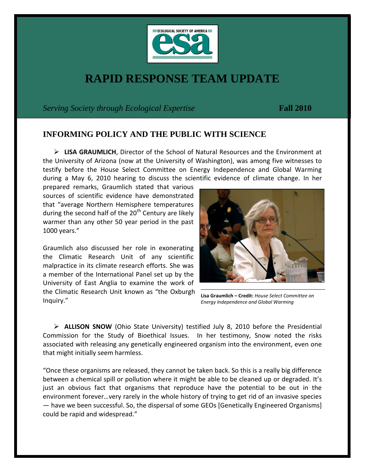

## **RAPID RESPONSE TEAM UPDATE**

*Serving Society through Ecological Expertise* **Fall 2010**

## **INFORMING POLICY AND THE PUBLIC WITH SCIENCE**

 **LISA GRAUMLICH**, Director of the School of Natural Resources and the Environment at the University of Arizona (now at the University of Washington), was among five witnesses to testify before the House Select Committee on Energy Independence and Global Warming during a May 6, 2010 hearing to discuss the scientific evidence of climate change. In her

prepared remarks, Graumlich stated that various sources of scientific evidence have demonstrated that "average Northern Hemisphere temperatures during the second half of the  $20<sup>th</sup>$  Century are likely warmer than any other 50 year period in the past 1000 years."

Graumlich also discussed her role in exonerating the Climatic Research Unit of any scientific malpractice in its climate research efforts. She was a member of the International Panel set up by the University of East Anglia to examine the work of the Climatic Research Unit known as "the Oxburgh Inquiry."



**Lisa Graumlich – Credit:** *House Select Committee on Energy Independence and Global Warming*

 **ALLISON SNOW** (Ohio State University) testified July 8, 2010 before the Presidential Commission for the Study of Bioethical Issues. In her testimony, Snow noted the risks associated with releasing any genetically engineered organism into the environment, even one that might initially seem harmless.

"Once these organisms are released, they cannot be taken back. So this is a really big difference between a chemical spill or pollution where it might be able to be cleaned up or degraded. It's just an obvious fact that organisms that reproduce have the potential to be out in the environment forever…very rarely in the whole history of trying to get rid of an invasive species — have we been successful. So, the dispersal of some GEOs [Genetically Engineered Organisms] could be rapid and widespread."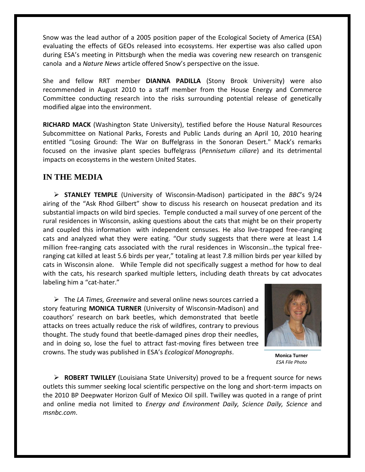Snow was the lead author of a 2005 position paper of the Ecological Society of America (ESA) evaluating the effects of GEOs released into ecosystems. Her expertise was also called upon during ESA's meeting in Pittsburgh when the media was covering new research on transgenic canola and a *Nature News* article offered Snow's perspective on the issue.

She and fellow RRT member **DIANNA PADILLA** (Stony Brook University) were also recommended in August 2010 to a staff member from the House Energy and Commerce Committee conducting research into the risks surrounding potential release of genetically modified algae into the environment.

**RICHARD MACK** (Washington State University), testified before the House Natural Resources Subcommittee on National Parks, Forests and Public Lands during an April 10, 2010 hearing entitled "Losing Ground: The War on Buffelgrass in the Sonoran Desert." Mack's remarks focused on the invasive plant species buffelgrass (*Pennisetum ciliare*) and its detrimental impacts on ecosystems in the western United States.

## **IN THE MEDIA**

 **STANLEY TEMPLE** (University of Wisconsin-Madison) participated in the *BBC*'s 9/24 airing of the "Ask Rhod Gilbert" show to discuss his research on housecat predation and its substantial impacts on wild bird species. Temple conducted a mail survey of one percent of the rural residences in Wisconsin, asking questions about the cats that might be on their property and coupled this information with independent censuses. He also live-trapped free-ranging cats and analyzed what they were eating. "Our study suggests that there were at least 1.4 million free-ranging cats associated with the rural residences in Wisconsin…the typical freeranging cat killed at least 5.6 birds per year," totaling at least 7.8 million birds per year killed by cats in Wisconsin alone. While Temple did not specifically suggest a method for how to deal with the cats, his research sparked multiple letters, including death threats by cat advocates labeling him a "cat-hater."

 The *LA Times, Greenwire* and several online news sources carried a story featuring **MONICA TURNER** (University of Wisconsin-Madison) and coauthors' research on bark beetles, which demonstrated that beetle attacks on trees actually reduce the risk of wildfires, contrary to previous thought. The study found that beetle-damaged pines drop their needles, and in doing so, lose the fuel to attract fast-moving fires between tree crowns. The study was published in ESA's *Ecological Monographs*.



**Monica Turner** *ESA File Photo*

 **ROBERT TWILLEY** (Louisiana State University) proved to be a frequent source for news outlets this summer seeking local scientific perspective on the long and short-term impacts on the 2010 BP Deepwater Horizon Gulf of Mexico Oil spill. Twilley was quoted in a range of print and online media not limited to *Energy and Environment Daily, Science Daily, Science* and *msnbc.com*.